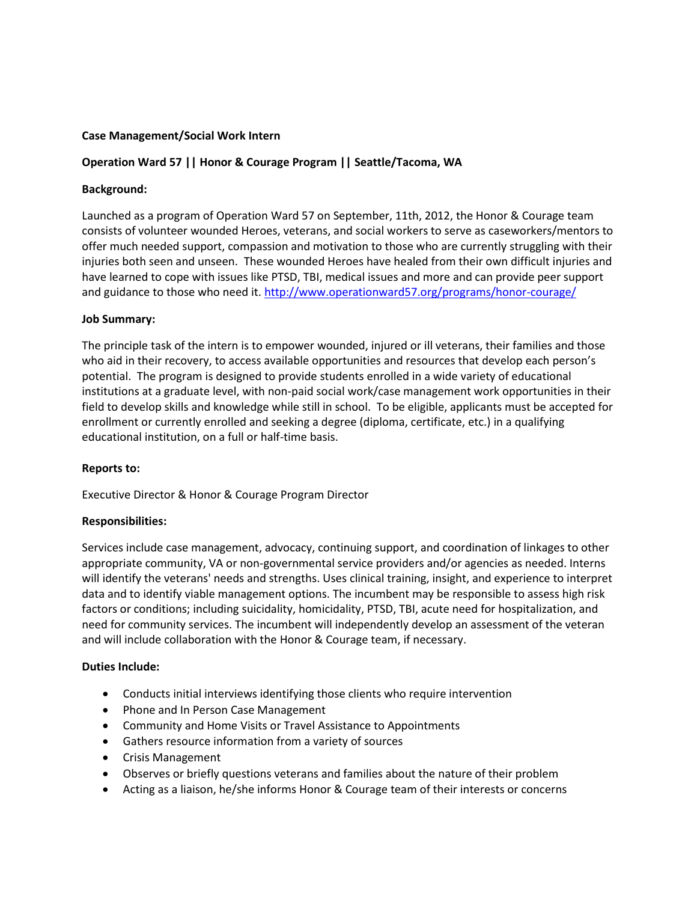## **Case Management/Social Work Intern**

# **Operation Ward 57 || Honor & Courage Program || Seattle/Tacoma, WA**

## **Background:**

Launched as a program of Operation Ward 57 on September, 11th, 2012, the Honor & Courage team consists of volunteer wounded Heroes, veterans, and social workers to serve as caseworkers/mentors to offer much needed support, compassion and motivation to those who are currently struggling with their injuries both seen and unseen. These wounded Heroes have healed from their own difficult injuries and have learned to cope with issues like PTSD, TBI, medical issues and more and can provide peer support and guidance to those who need it.<http://www.operationward57.org/programs/honor-courage/>

## **Job Summary:**

The principle task of the intern is to empower wounded, injured or ill veterans, their families and those who aid in their recovery, to access available opportunities and resources that develop each person's potential. The program is designed to provide students enrolled in a wide variety of educational institutions at a graduate level, with non-paid social work/case management work opportunities in their field to develop skills and knowledge while still in school. To be eligible, applicants must be accepted for enrollment or currently enrolled and seeking a degree (diploma, certificate, etc.) in a qualifying educational institution, on a full or half-time basis.

## **Reports to:**

Executive Director & Honor & Courage Program Director

## **Responsibilities:**

Services include case management, advocacy, continuing support, and coordination of linkages to other appropriate community, VA or non-governmental service providers and/or agencies as needed. Interns will identify the veterans' needs and strengths. Uses clinical training, insight, and experience to interpret data and to identify viable management options. The incumbent may be responsible to assess high risk factors or conditions; including suicidality, homicidality, PTSD, TBI, acute need for hospitalization, and need for community services. The incumbent will independently develop an assessment of the veteran and will include collaboration with the Honor & Courage team, if necessary.

## **Duties Include:**

- Conducts initial interviews identifying those clients who require intervention
- Phone and In Person Case Management
- Community and Home Visits or Travel Assistance to Appointments
- Gathers resource information from a variety of sources
- Crisis Management
- Observes or briefly questions veterans and families about the nature of their problem
- Acting as a liaison, he/she informs Honor & Courage team of their interests or concerns